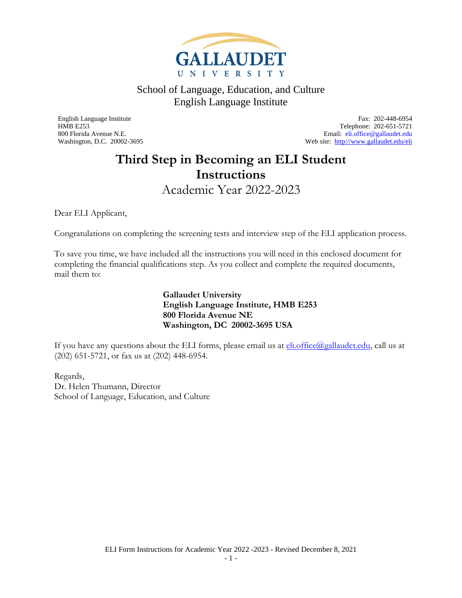

<span id="page-0-0"></span>English Language Institute Fax: 202-448-6954 HMB E253 Telephone: 202-651-5721<br>
800 Florida Avenue N.E.<br>
Email: eli.office@gallaudet.edu Email: [eli.office@gallaudet.edu](mailto:eli.office@gallaudet.edu) Washington, D.C. 20002-3695 Web site:<http://www.gallaudet.edu/eli>

### **Third Step in Becoming an ELI Student Instructions** Academic Year 2022-2023

<span id="page-0-1"></span>Dear ELI Applicant,

Congratulations on completing the screening tests and interview step of the ELI application process.

To save you time, we have included all the instructions you will need in this enclosed document for completing the financial qualifications step. As you collect and complete the required documents, mail them to:

> **Gallaudet University English Language Institute, HMB E253 800 Florida Avenue NE Washington, DC 20002-3695 USA**

If you have any questions about the ELI forms, please email us at  $\frac{\text{eli.office}(a_{\text{gallaudet.edu}})}{\text{call us at}}$ (202) 651-5721, or fax us at (202) 448-6954.

Regards, Dr. Helen Thumann, Director School of Language, Education, and Culture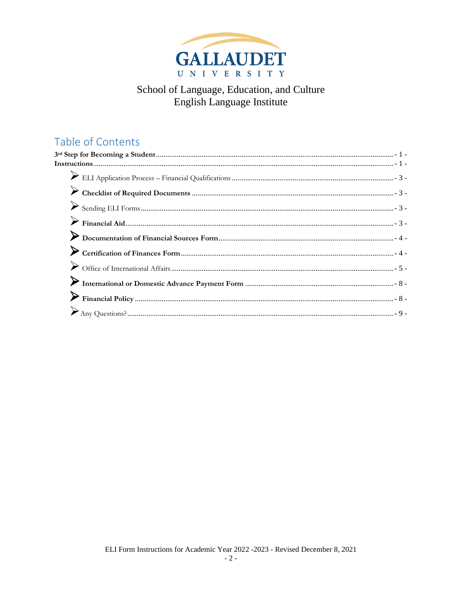

### Table of Contents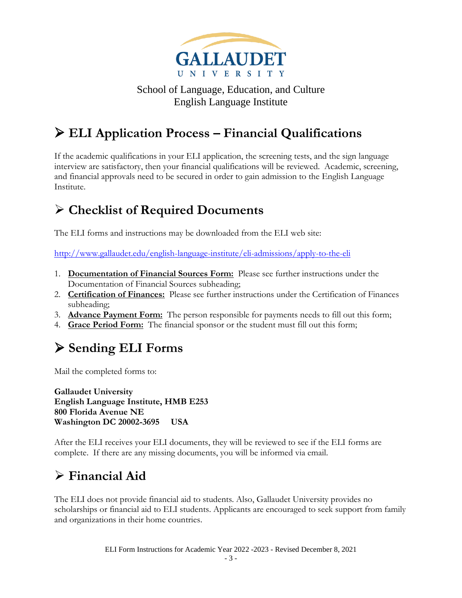

## <span id="page-2-0"></span>➢ **ELI Application Process – Financial Qualifications**

If the academic qualifications in your ELI application, the screening tests, and the sign language interview are satisfactory, then your financial qualifications will be reviewed. Academic, screening, and financial approvals need to be secured in order to gain admission to the English Language Institute.

## <span id="page-2-1"></span>➢ **Checklist of Required Documents**

The ELI forms and instructions may be downloaded from the ELI web site:

<http://www.gallaudet.edu/english-language-institute/eli-admissions/apply-to-the-eli>

- 1. **Documentation of Financial Sources Form:** Please see further instructions under the Documentation of Financial Sources subheading;
- 2. **Certification of Finances:** Please see further instructions under the Certification of Finances subheading;
- 3. **Advance Payment Form:** The person responsible for payments needs to fill out this form;
- 4. **Grace Period Form:** The financial sponsor or the student must fill out this form;

# <span id="page-2-2"></span>➢ **Sending ELI Forms**

Mail the completed forms to:

**Gallaudet University English Language Institute, HMB E253 800 Florida Avenue NE Washington DC 20002-3695 USA**

After the ELI receives your ELI documents, they will be reviewed to see if the ELI forms are complete. If there are any missing documents, you will be informed via email.

## <span id="page-2-3"></span>➢ **Financial Aid**

The ELI does not provide financial aid to students. Also, Gallaudet University provides no scholarships or financial aid to ELI students. Applicants are encouraged to seek support from family and organizations in their home countries.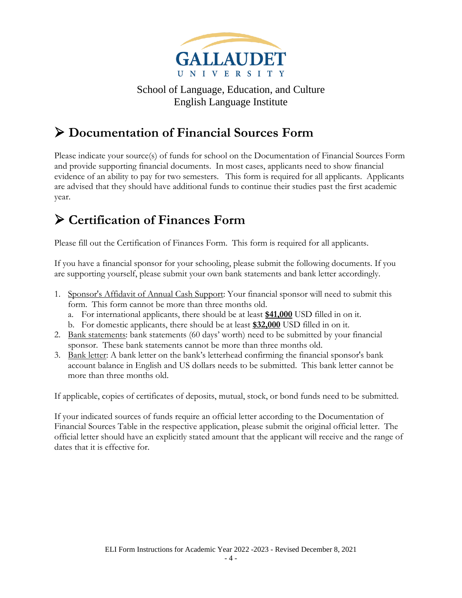

## <span id="page-3-0"></span>➢ **Documentation of Financial Sources Form**

Please indicate your source(s) of funds for school on the Documentation of Financial Sources Form and provide supporting financial documents. In most cases, applicants need to show financial evidence of an ability to pay for two semesters. This form is required for all applicants. Applicants are advised that they should have additional funds to continue their studies past the first academic year.

## <span id="page-3-1"></span>➢ **Certification of Finances Form**

Please fill out the Certification of Finances Form. This form is required for all applicants.

If you have a financial sponsor for your schooling, please submit the following documents. If you are supporting yourself, please submit your own bank statements and bank letter accordingly.

- 1. Sponsor's Affidavit of Annual Cash Support: Your financial sponsor will need to submit this form. This form cannot be more than three months old.
	- a. For international applicants, there should be at least **\$41,000** USD filled in on it.
	- b. For domestic applicants, there should be at least **\$32,000** USD filled in on it.
- 2. Bank statements: bank statements (60 days' worth) need to be submitted by your financial sponsor. These bank statements cannot be more than three months old.
- 3. Bank letter: A bank letter on the bank's letterhead confirming the financial sponsor's bank account balance in English and US dollars needs to be submitted. This bank letter cannot be more than three months old.

If applicable, copies of certificates of deposits, mutual, stock, or bond funds need to be submitted.

If your indicated sources of funds require an official letter according to the Documentation of Financial Sources Table in the respective application, please submit the original official letter. The official letter should have an explicitly stated amount that the applicant will receive and the range of dates that it is effective for.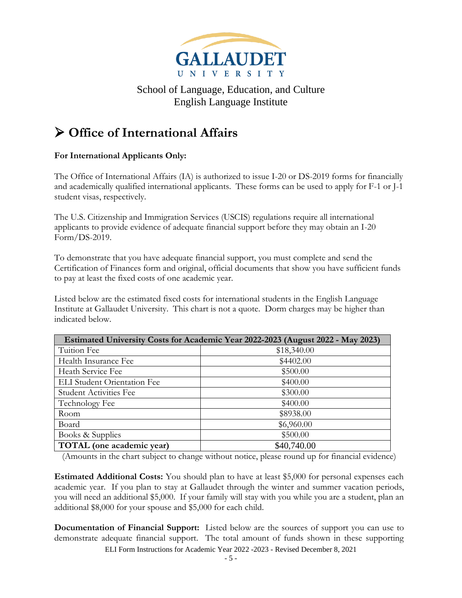

### <span id="page-4-0"></span>➢ **Office of International Affairs**

#### **For International Applicants Only:**

The Office of International Affairs (IA) is authorized to issue I-20 or DS-2019 forms for financially and academically qualified international applicants. These forms can be used to apply for F-1 or J-1 student visas, respectively.

The U.S. Citizenship and Immigration Services (USCIS) regulations require all international applicants to provide evidence of adequate financial support before they may obtain an I-20 Form/DS-2019.

To demonstrate that you have adequate financial support, you must complete and send the Certification of Finances form and original, official documents that show you have sufficient funds to pay at least the fixed costs of one academic year.

Listed below are the estimated fixed costs for international students in the English Language Institute at Gallaudet University. This chart is not a quote. Dorm charges may be higher than indicated below.

| <b>Estimated University Costs for Academic Year 2022-2023 (August 2022 - May 2023)</b> |             |  |
|----------------------------------------------------------------------------------------|-------------|--|
| Tuition Fee                                                                            | \$18,340.00 |  |
| Health Insurance Fee                                                                   | \$4402.00   |  |
| Heath Service Fee                                                                      | \$500.00    |  |
| <b>ELI</b> Student Orientation Fee                                                     | \$400.00    |  |
| <b>Student Activities Fee</b>                                                          | \$300.00    |  |
| Technology Fee                                                                         | \$400.00    |  |
| Room                                                                                   | \$8938.00   |  |
| Board                                                                                  | \$6,960.00  |  |
| Books & Supplies                                                                       | \$500.00    |  |
| TOTAL (one academic year)                                                              | \$40,740.00 |  |

(Amounts in the chart subject to change without notice, please round up for financial evidence)

**Estimated Additional Costs:** You should plan to have at least \$5,000 for personal expenses each academic year. If you plan to stay at Gallaudet through the winter and summer vacation periods, you will need an additional \$5,000. If your family will stay with you while you are a student, plan an additional \$8,000 for your spouse and \$5,000 for each child.

**Documentation of Financial Support:** Listed below are the sources of support you can use to demonstrate adequate financial support. The total amount of funds shown in these supporting

ELI Form Instructions for Academic Year 2022 -2023 - Revised December 8, 2021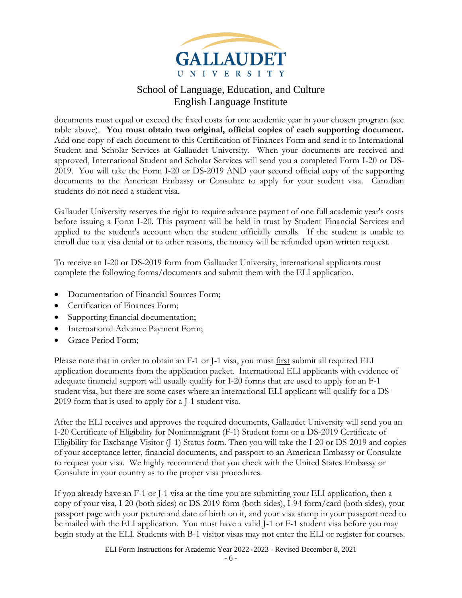

documents must equal or exceed the fixed costs for one academic year in your chosen program (see table above). **You must obtain two original, official copies of each supporting document.**  Add one copy of each document to this Certification of Finances Form and send it to International Student and Scholar Services at Gallaudet University. When your documents are received and approved, International Student and Scholar Services will send you a completed Form I-20 or DS-2019. You will take the Form I-20 or DS-2019 AND your second official copy of the supporting documents to the American Embassy or Consulate to apply for your student visa. Canadian students do not need a student visa.

Gallaudet University reserves the right to require advance payment of one full academic year's costs before issuing a Form I-20. This payment will be held in trust by Student Financial Services and applied to the student's account when the student officially enrolls. If the student is unable to enroll due to a visa denial or to other reasons, the money will be refunded upon written request.

To receive an I-20 or DS-2019 form from Gallaudet University, international applicants must complete the following forms/documents and submit them with the ELI application.

- Documentation of Financial Sources Form;
- Certification of Finances Form;
- Supporting financial documentation;
- International Advance Payment Form;
- Grace Period Form;

Please note that in order to obtain an F-1 or J-1 visa, you must first submit all required ELI application documents from the application packet. International ELI applicants with evidence of adequate financial support will usually qualify for I-20 forms that are used to apply for an F-1 student visa, but there are some cases where an international ELI applicant will qualify for a DS-2019 form that is used to apply for a J-1 student visa.

After the ELI receives and approves the required documents, Gallaudet University will send you an I-20 Certificate of Eligibility for Nonimmigrant (F-1) Student form or a DS-2019 Certificate of Eligibility for Exchange Visitor (J-1) Status form. Then you will take the I-20 or DS-2019 and copies of your acceptance letter, financial documents, and passport to an American Embassy or Consulate to request your visa. We highly recommend that you check with the United States Embassy or Consulate in your country as to the proper visa procedures.

If you already have an F-1 or J-1 visa at the time you are submitting your ELI application, then a copy of your visa, I-20 (both sides) or DS-2019 form (both sides), I-94 form/card (both sides), your passport page with your picture and date of birth on it, and your visa stamp in your passport need to be mailed with the ELI application. You must have a valid J-1 or F-1 student visa before you may begin study at the ELI. Students with B-1 visitor visas may not enter the ELI or register for courses.

ELI Form Instructions for Academic Year 2022 -2023 - Revised December 8, 2021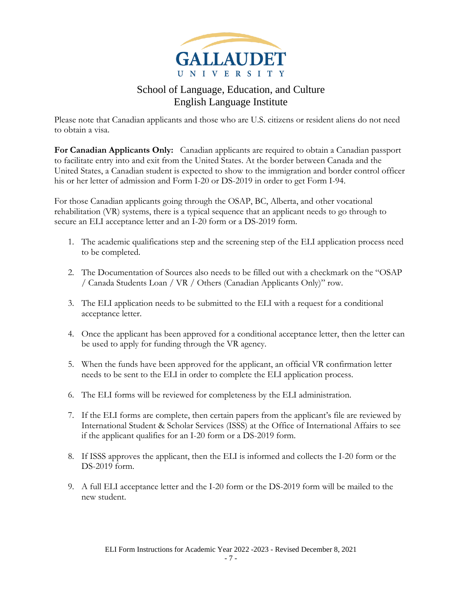

Please note that Canadian applicants and those who are U.S. citizens or resident aliens do not need to obtain a visa.

**For Canadian Applicants Only:** Canadian applicants are required to obtain a Canadian passport to facilitate entry into and exit from the United States. At the border between Canada and the United States, a Canadian student is expected to show to the immigration and border control officer his or her letter of admission and Form I-20 or DS-2019 in order to get Form I-94.

For those Canadian applicants going through the OSAP, BC, Alberta, and other vocational rehabilitation (VR) systems, there is a typical sequence that an applicant needs to go through to secure an ELI acceptance letter and an I-20 form or a DS-2019 form.

- 1. The academic qualifications step and the screening step of the ELI application process need to be completed.
- 2. The Documentation of Sources also needs to be filled out with a checkmark on the "OSAP / Canada Students Loan / VR / Others (Canadian Applicants Only)" row.
- 3. The ELI application needs to be submitted to the ELI with a request for a conditional acceptance letter.
- 4. Once the applicant has been approved for a conditional acceptance letter, then the letter can be used to apply for funding through the VR agency.
- 5. When the funds have been approved for the applicant, an official VR confirmation letter needs to be sent to the ELI in order to complete the ELI application process.
- 6. The ELI forms will be reviewed for completeness by the ELI administration.
- 7. If the ELI forms are complete, then certain papers from the applicant's file are reviewed by International Student & Scholar Services (ISSS) at the Office of International Affairs to see if the applicant qualifies for an I-20 form or a DS-2019 form.
- 8. If ISSS approves the applicant, then the ELI is informed and collects the I-20 form or the DS-2019 form.
- 9. A full ELI acceptance letter and the I-20 form or the DS-2019 form will be mailed to the new student.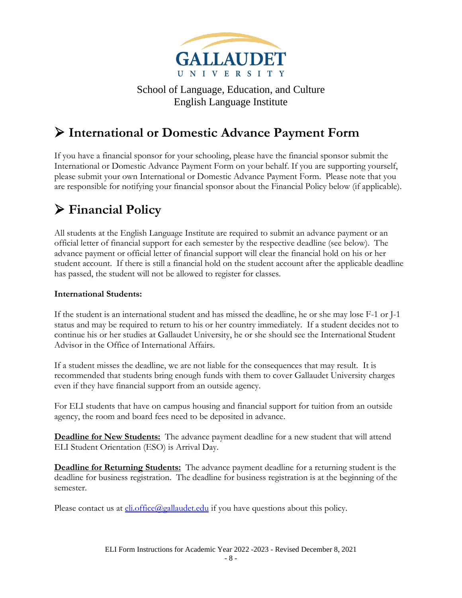

## <span id="page-7-0"></span>➢ **International or Domestic Advance Payment Form**

If you have a financial sponsor for your schooling, please have the financial sponsor submit the International or Domestic Advance Payment Form on your behalf. If you are supporting yourself, please submit your own International or Domestic Advance Payment Form. Please note that you are responsible for notifying your financial sponsor about the Financial Policy below (if applicable).

# <span id="page-7-1"></span>➢ **Financial Policy**

All students at the English Language Institute are required to submit an advance payment or an official letter of financial support for each semester by the respective deadline (see below). The advance payment or official letter of financial support will clear the financial hold on his or her student account. If there is still a financial hold on the student account after the applicable deadline has passed, the student will not be allowed to register for classes.

#### **International Students:**

If the student is an international student and has missed the deadline, he or she may lose F-1 or J-1 status and may be required to return to his or her country immediately. If a student decides not to continue his or her studies at Gallaudet University, he or she should see the International Student Advisor in the Office of International Affairs.

If a student misses the deadline, we are not liable for the consequences that may result. It is recommended that students bring enough funds with them to cover Gallaudet University charges even if they have financial support from an outside agency.

For ELI students that have on campus housing and financial support for tuition from an outside agency, the room and board fees need to be deposited in advance.

**Deadline for New Students:** The advance payment deadline for a new student that will attend ELI Student Orientation (ESO) is Arrival Day.

**Deadline for Returning Students:** The advance payment deadline for a returning student is the deadline for business registration. The deadline for business registration is at the beginning of the semester.

Please contact us at  $\underline{\text{eli}}.\text{office}(Qgallaudet.edu)$  if you have questions about this policy.